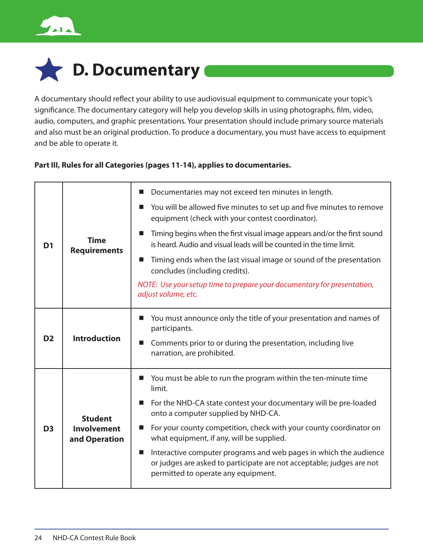



A documentary should reflect your ability to use audiovisual equipment to communicate your topic's significance. The documentary category will help you develop skills in using photographs, film, video, audio, computers, and graphic presentations. Your presentation should include primary source materials and also must be an original production. To produce a documentary, you must have access to equipment and be able to operate it.

### **Part III, Rules for all Categories (pages 11-14), applies to documentaries.**

| D <sub>1</sub> | <b>Time</b><br><b>Requirements</b>                    | Documentaries may not exceed ten minutes in length.<br>ш                                                                                                                                    |
|----------------|-------------------------------------------------------|---------------------------------------------------------------------------------------------------------------------------------------------------------------------------------------------|
|                |                                                       | You will be allowed five minutes to set up and five minutes to remove<br>ш<br>equipment (check with your contest coordinator).                                                              |
|                |                                                       | Timing begins when the first visual image appears and/or the first sound<br>■<br>is heard. Audio and visual leads will be counted in the time limit.                                        |
|                |                                                       | Timing ends when the last visual image or sound of the presentation<br>$\blacksquare$<br>concludes (including credits).                                                                     |
|                |                                                       | NOTE: Use your setup time to prepare your documentary for presentation,<br>adjust volume, etc.                                                                                              |
| D <sub>2</sub> | <b>Introduction</b>                                   | You must announce only the title of your presentation and names of<br>ш<br>participants.<br>Comments prior to or during the presentation, including live<br>ш<br>narration, are prohibited. |
| D <sub>3</sub> | <b>Student</b><br><b>Involvement</b><br>and Operation | You must be able to run the program within the ten-minute time<br>ш<br>limit.                                                                                                               |
|                |                                                       | For the NHD-CA state contest your documentary will be pre-loaded<br>a.<br>onto a computer supplied by NHD-CA.                                                                               |
|                |                                                       | For your county competition, check with your county coordinator on<br>ш<br>what equipment, if any, will be supplied.                                                                        |
|                |                                                       | Interactive computer programs and web pages in which the audience<br>ш<br>or judges are asked to participate are not acceptable; judges are not<br>permitted to operate any equipment.      |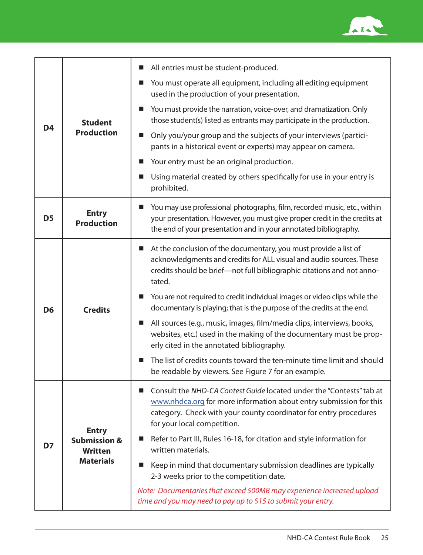

| D <sub>4</sub> | <b>Student</b><br><b>Production</b>                                           | All entries must be student-produced.<br>ш                                                                                                                                                                                                          |
|----------------|-------------------------------------------------------------------------------|-----------------------------------------------------------------------------------------------------------------------------------------------------------------------------------------------------------------------------------------------------|
|                |                                                                               | You must operate all equipment, including all editing equipment<br>ш<br>used in the production of your presentation.                                                                                                                                |
|                |                                                                               | You must provide the narration, voice-over, and dramatization. Only<br>ш<br>those student(s) listed as entrants may participate in the production.                                                                                                  |
|                |                                                                               | Only you/your group and the subjects of your interviews (partici-<br>ш<br>pants in a historical event or experts) may appear on camera.                                                                                                             |
|                |                                                                               | Your entry must be an original production.<br>ш                                                                                                                                                                                                     |
|                |                                                                               | Using material created by others specifically for use in your entry is<br>ш<br>prohibited.                                                                                                                                                          |
| D <sub>5</sub> | <b>Entry</b><br><b>Production</b>                                             | You may use professional photographs, film, recorded music, etc., within<br>your presentation. However, you must give proper credit in the credits at<br>the end of your presentation and in your annotated bibliography.                           |
| D <sub>6</sub> | <b>Credits</b>                                                                | At the conclusion of the documentary, you must provide a list of<br>ш<br>acknowledgments and credits for ALL visual and audio sources. These<br>credits should be brief-not full bibliographic citations and not anno-<br>tated.                    |
|                |                                                                               | You are not required to credit individual images or video clips while the<br>documentary is playing; that is the purpose of the credits at the end.                                                                                                 |
|                |                                                                               | All sources (e.g., music, images, film/media clips, interviews, books,<br>ш<br>websites, etc.) used in the making of the documentary must be prop-<br>erly cited in the annotated bibliography.                                                     |
|                |                                                                               | The list of credits counts toward the ten-minute time limit and should<br>■<br>be readable by viewers. See Figure 7 for an example.                                                                                                                 |
| D7             | <b>Entry</b><br><b>Submission &amp;</b><br><b>Written</b><br><b>Materials</b> | Consult the NHD-CA Contest Guide located under the "Contests" tab at<br>■<br>www.nhdca.org for more information about entry submission for this<br>category. Check with your county coordinator for entry procedures<br>for your local competition. |
|                |                                                                               | Refer to Part III, Rules 16-18, for citation and style information for<br>written materials.                                                                                                                                                        |
|                |                                                                               | Keep in mind that documentary submission deadlines are typically<br>ш<br>2-3 weeks prior to the competition date.                                                                                                                                   |
|                |                                                                               | Note: Documentaries that exceed 500MB may experience increased upload<br>time and you may need to pay up to \$15 to submit your entry.                                                                                                              |